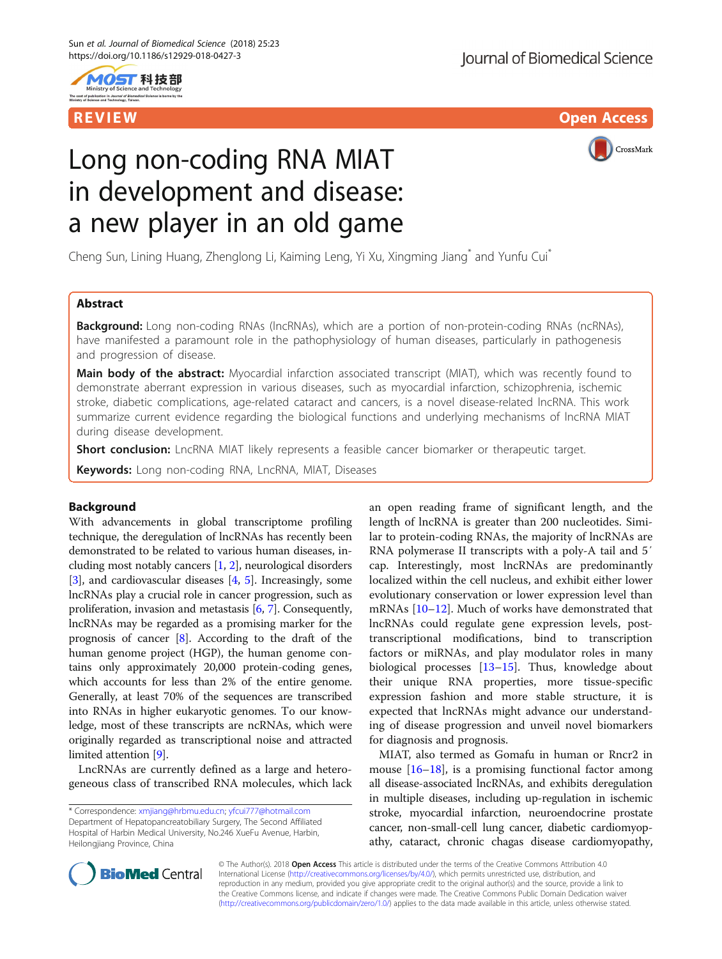

R EVI EW Open Access



# Long non-coding RNA MIAT in development and disease: a new player in an old game

Cheng Sun, Lining Huang, Zhenglong Li, Kaiming Leng, Yi Xu, Xingming Jiang\* and Yunfu Cui\*

# Abstract

**Background:** Long non-coding RNAs (lncRNAs), which are a portion of non-protein-coding RNAs (ncRNAs), have manifested a paramount role in the pathophysiology of human diseases, particularly in pathogenesis and progression of disease.

Main body of the abstract: Myocardial infarction associated transcript (MIAT), which was recently found to demonstrate aberrant expression in various diseases, such as myocardial infarction, schizophrenia, ischemic stroke, diabetic complications, age-related cataract and cancers, is a novel disease-related lncRNA. This work summarize current evidence regarding the biological functions and underlying mechanisms of lncRNA MIAT during disease development.

Short conclusion: LncRNA MIAT likely represents a feasible cancer biomarker or therapeutic target.

Keywords: Long non-coding RNA, LncRNA, MIAT, Diseases

# Background

With advancements in global transcriptome profiling technique, the deregulation of lncRNAs has recently been demonstrated to be related to various human diseases, including most notably cancers [[1](#page-5-0), [2](#page-5-0)], neurological disorders [[3\]](#page-5-0), and cardiovascular diseases [\[4](#page-5-0), [5\]](#page-5-0). Increasingly, some lncRNAs play a crucial role in cancer progression, such as proliferation, invasion and metastasis [\[6](#page-5-0), [7\]](#page-5-0). Consequently, lncRNAs may be regarded as a promising marker for the prognosis of cancer [[8\]](#page-5-0). According to the draft of the human genome project (HGP), the human genome contains only approximately 20,000 protein-coding genes, which accounts for less than 2% of the entire genome. Generally, at least 70% of the sequences are transcribed into RNAs in higher eukaryotic genomes. To our knowledge, most of these transcripts are ncRNAs, which were originally regarded as transcriptional noise and attracted limited attention [\[9\]](#page-5-0).

LncRNAs are currently defined as a large and heterogeneous class of transcribed RNA molecules, which lack

\* Correspondence: [xmjiang@hrbmu.edu.cn](mailto:xmjiang@hrbmu.edu.cn); [yfcui777@hotmail.com](mailto:yfcui777@hotmail.com) Department of Hepatopancreatobiliary Surgery, The Second Affiliated Hospital of Harbin Medical University, No.246 XueFu Avenue, Harbin, Heilongjiang Province, China

an open reading frame of significant length, and the length of lncRNA is greater than 200 nucleotides. Similar to protein-coding RNAs, the majority of lncRNAs are RNA polymerase II transcripts with a poly-A tail and 5′ cap. Interestingly, most lncRNAs are predominantly localized within the cell nucleus, and exhibit either lower evolutionary conservation or lower expression level than mRNAs [\[10](#page-5-0)–[12\]](#page-5-0). Much of works have demonstrated that lncRNAs could regulate gene expression levels, posttranscriptional modifications, bind to transcription factors or miRNAs, and play modulator roles in many biological processes [\[13](#page-5-0)–[15\]](#page-5-0). Thus, knowledge about their unique RNA properties, more tissue-specific expression fashion and more stable structure, it is expected that lncRNAs might advance our understanding of disease progression and unveil novel biomarkers for diagnosis and prognosis.

MIAT, also termed as Gomafu in human or Rncr2 in mouse [[16](#page-5-0)–[18](#page-5-0)], is a promising functional factor among all disease-associated lncRNAs, and exhibits deregulation in multiple diseases, including up-regulation in ischemic stroke, myocardial infarction, neuroendocrine prostate cancer, non-small-cell lung cancer, diabetic cardiomyopathy, cataract, chronic chagas disease cardiomyopathy,



© The Author(s). 2018 Open Access This article is distributed under the terms of the Creative Commons Attribution 4.0 International License [\(http://creativecommons.org/licenses/by/4.0/](http://creativecommons.org/licenses/by/4.0/)), which permits unrestricted use, distribution, and reproduction in any medium, provided you give appropriate credit to the original author(s) and the source, provide a link to the Creative Commons license, and indicate if changes were made. The Creative Commons Public Domain Dedication waiver [\(http://creativecommons.org/publicdomain/zero/1.0/](http://creativecommons.org/publicdomain/zero/1.0/)) applies to the data made available in this article, unless otherwise stated.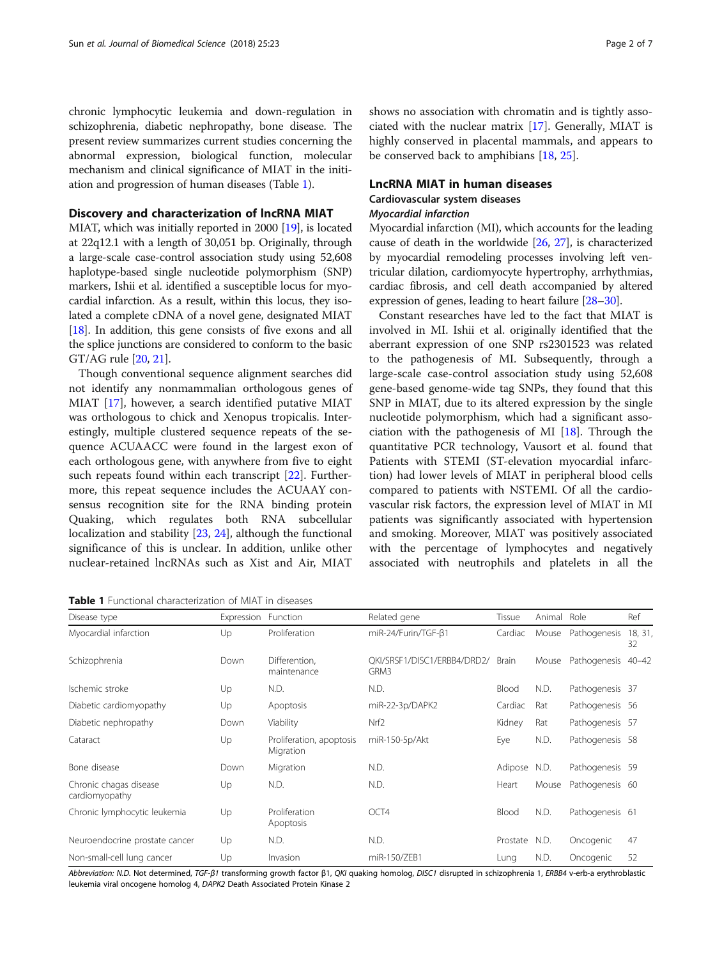chronic lymphocytic leukemia and down-regulation in schizophrenia, diabetic nephropathy, bone disease. The present review summarizes current studies concerning the abnormal expression, biological function, molecular mechanism and clinical significance of MIAT in the initiation and progression of human diseases (Table 1).

# Discovery and characterization of lncRNA MIAT

MIAT, which was initially reported in 2000 [\[19\]](#page-5-0), is located at 22q12.1 with a length of 30,051 bp. Originally, through a large-scale case-control association study using 52,608 haplotype-based single nucleotide polymorphism (SNP) markers, Ishii et al. identified a susceptible locus for myocardial infarction. As a result, within this locus, they isolated a complete cDNA of a novel gene, designated MIAT [[18](#page-5-0)]. In addition, this gene consists of five exons and all the splice junctions are considered to conform to the basic GT/AG rule [[20](#page-5-0), [21\]](#page-5-0).

Though conventional sequence alignment searches did not identify any nonmammalian orthologous genes of MIAT [\[17\]](#page-5-0), however, a search identified putative MIAT was orthologous to chick and Xenopus tropicalis. Interestingly, multiple clustered sequence repeats of the sequence ACUAACC were found in the largest exon of each orthologous gene, with anywhere from five to eight such repeats found within each transcript [[22\]](#page-5-0). Furthermore, this repeat sequence includes the ACUAAY consensus recognition site for the RNA binding protein Quaking, which regulates both RNA subcellular localization and stability [[23,](#page-5-0) [24\]](#page-5-0), although the functional significance of this is unclear. In addition, unlike other nuclear-retained lncRNAs such as Xist and Air, MIAT

Table 1 Functional characterization of MIAT in diseases

shows no association with chromatin and is tightly associated with the nuclear matrix [\[17\]](#page-5-0). Generally, MIAT is highly conserved in placental mammals, and appears to be conserved back to amphibians [\[18](#page-5-0), [25](#page-5-0)].

# LncRNA MIAT in human diseases Cardiovascular system diseases Myocardial infarction

Myocardial infarction (MI), which accounts for the leading cause of death in the worldwide [\[26,](#page-5-0) [27](#page-5-0)], is characterized by myocardial remodeling processes involving left ventricular dilation, cardiomyocyte hypertrophy, arrhythmias, cardiac fibrosis, and cell death accompanied by altered expression of genes, leading to heart failure [\[28](#page-5-0)–[30](#page-5-0)].

Constant researches have led to the fact that MIAT is involved in MI. Ishii et al. originally identified that the aberrant expression of one SNP rs2301523 was related to the pathogenesis of MI. Subsequently, through a large-scale case-control association study using 52,608 gene-based genome-wide tag SNPs, they found that this SNP in MIAT, due to its altered expression by the single nucleotide polymorphism, which had a significant association with the pathogenesis of MI  $[18]$  $[18]$ . Through the quantitative PCR technology, Vausort et al. found that Patients with STEMI (ST-elevation myocardial infarction) had lower levels of MIAT in peripheral blood cells compared to patients with NSTEMI. Of all the cardiovascular risk factors, the expression level of MIAT in MI patients was significantly associated with hypertension and smoking. Moreover, MIAT was positively associated with the percentage of lymphocytes and negatively associated with neutrophils and platelets in all the

Disease type Expression Function Related gene Tissue Animal Role Ref Myocardial infarction Up Proliferation miR-24/Furin/TGF-β1 Cardiac Mouse Pathogenesis 18, 31, 32 Schizophrenia **Down** Differention, maintenance QKI/SRSF1/DISC1/ERBB4/DRD2/ GRM3 Brain Mouse Pathogenesis 40–42 Ischemic stroke Up N.D. N.D. Blood N.D. Pathogenesis 37 Diabetic cardiomyopathy Up Apoptosis miR-22-3p/DAPK2 Cardiac Rat Pathogenesis 56 Diabetic nephropathy **Down** Viability **Nrf2** Nrf2 Kidney Rat Pathogenesis 57 Cataract Up Proliferation, apoptosis Migration miR-150-5p/Akt Eye N.D. Pathogenesis 58 Bone disease **Down** Migration N.D. N.D. Adipose N.D. Pathogenesis 59 Chronic chagas disease cardiomyopathy Up N.D. N.D. N.D. N.D. Heart Mouse Pathogenesis 60 Chronic lymphocytic leukemia Up Proliferation Apoptosis OCT4 Blood N.D. Pathogenesis 61 Neuroendocrine prostate cancer Up N.D. N.D. N.D. Prostate N.D. Oncogenic 47 Non-small-cell lung cancer Up Invasion miR-150/ZEB1 Lung N.D. Oncogenic 52

Abbreviation: N.D. Not determined, TGF-β1 transforming growth factor β1, QKI quaking homolog, DISC1 disrupted in schizophrenia 1, ERBB4 v-erb-a erythroblastic leukemia viral oncogene homolog 4, DAPK2 Death Associated Protein Kinase 2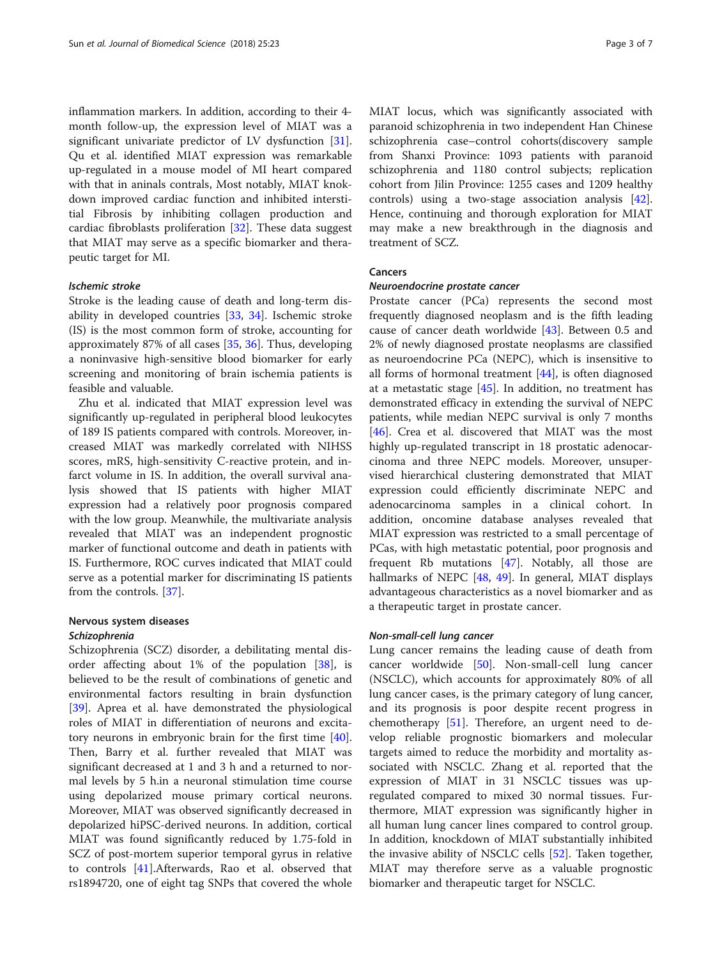inflammation markers. In addition, according to their 4 month follow-up, the expression level of MIAT was a significant univariate predictor of LV dysfunction [\[31](#page-5-0)]. Qu et al. identified MIAT expression was remarkable up-regulated in a mouse model of MI heart compared with that in aninals contrals, Most notably, MIAT knokdown improved cardiac function and inhibited interstitial Fibrosis by inhibiting collagen production and cardiac fibroblasts proliferation [[32\]](#page-5-0). These data suggest that MIAT may serve as a specific biomarker and therapeutic target for MI.

# Ischemic stroke

Stroke is the leading cause of death and long-term disability in developed countries [[33,](#page-5-0) [34](#page-5-0)]. Ischemic stroke (IS) is the most common form of stroke, accounting for approximately 87% of all cases [\[35](#page-5-0), [36](#page-5-0)]. Thus, developing a noninvasive high-sensitive blood biomarker for early screening and monitoring of brain ischemia patients is feasible and valuable.

Zhu et al. indicated that MIAT expression level was significantly up-regulated in peripheral blood leukocytes of 189 IS patients compared with controls. Moreover, increased MIAT was markedly correlated with NIHSS scores, mRS, high-sensitivity C-reactive protein, and infarct volume in IS. In addition, the overall survival analysis showed that IS patients with higher MIAT expression had a relatively poor prognosis compared with the low group. Meanwhile, the multivariate analysis revealed that MIAT was an independent prognostic marker of functional outcome and death in patients with IS. Furthermore, ROC curves indicated that MIAT could serve as a potential marker for discriminating IS patients from the controls. [[37\]](#page-5-0).

# Nervous system diseases Schizophrenia

Schizophrenia (SCZ) disorder, a debilitating mental disorder affecting about  $1\%$  of the population  $[38]$  $[38]$  $[38]$ , is believed to be the result of combinations of genetic and environmental factors resulting in brain dysfunction [[39\]](#page-5-0). Aprea et al. have demonstrated the physiological roles of MIAT in differentiation of neurons and excitatory neurons in embryonic brain for the first time [\[40](#page-5-0)]. Then, Barry et al. further revealed that MIAT was significant decreased at 1 and 3 h and a returned to normal levels by 5 h.in a neuronal stimulation time course using depolarized mouse primary cortical neurons. Moreover, MIAT was observed significantly decreased in depolarized hiPSC-derived neurons. In addition, cortical MIAT was found significantly reduced by 1.75-fold in SCZ of post-mortem superior temporal gyrus in relative to controls [\[41](#page-6-0)].Afterwards, Rao et al. observed that rs1894720, one of eight tag SNPs that covered the whole MIAT locus, which was significantly associated with paranoid schizophrenia in two independent Han Chinese schizophrenia case–control cohorts(discovery sample from Shanxi Province: 1093 patients with paranoid schizophrenia and 1180 control subjects; replication cohort from Jilin Province: 1255 cases and 1209 healthy controls) using a two-stage association analysis [\[42](#page-6-0)]. Hence, continuing and thorough exploration for MIAT may make a new breakthrough in the diagnosis and treatment of SCZ.

# Cancers

# Neuroendocrine prostate cancer

Prostate cancer (PCa) represents the second most frequently diagnosed neoplasm and is the fifth leading cause of cancer death worldwide [[43\]](#page-6-0). Between 0.5 and 2% of newly diagnosed prostate neoplasms are classified as neuroendocrine PCa (NEPC), which is insensitive to all forms of hormonal treatment [\[44](#page-6-0)], is often diagnosed at a metastatic stage  $[45]$  $[45]$  $[45]$ . In addition, no treatment has demonstrated efficacy in extending the survival of NEPC patients, while median NEPC survival is only 7 months [[46\]](#page-6-0). Crea et al. discovered that MIAT was the most highly up-regulated transcript in 18 prostatic adenocarcinoma and three NEPC models. Moreover, unsupervised hierarchical clustering demonstrated that MIAT expression could efficiently discriminate NEPC and adenocarcinoma samples in a clinical cohort. In addition, oncomine database analyses revealed that MIAT expression was restricted to a small percentage of PCas, with high metastatic potential, poor prognosis and frequent Rb mutations [\[47](#page-6-0)]. Notably, all those are hallmarks of NEPC [\[48](#page-6-0), [49](#page-6-0)]. In general, MIAT displays advantageous characteristics as a novel biomarker and as a therapeutic target in prostate cancer.

# Non-small-cell lung cancer

Lung cancer remains the leading cause of death from cancer worldwide [[50](#page-6-0)]. Non-small-cell lung cancer (NSCLC), which accounts for approximately 80% of all lung cancer cases, is the primary category of lung cancer, and its prognosis is poor despite recent progress in chemotherapy [\[51](#page-6-0)]. Therefore, an urgent need to develop reliable prognostic biomarkers and molecular targets aimed to reduce the morbidity and mortality associated with NSCLC. Zhang et al. reported that the expression of MIAT in 31 NSCLC tissues was upregulated compared to mixed 30 normal tissues. Furthermore, MIAT expression was significantly higher in all human lung cancer lines compared to control group. In addition, knockdown of MIAT substantially inhibited the invasive ability of NSCLC cells [\[52](#page-6-0)]. Taken together, MIAT may therefore serve as a valuable prognostic biomarker and therapeutic target for NSCLC.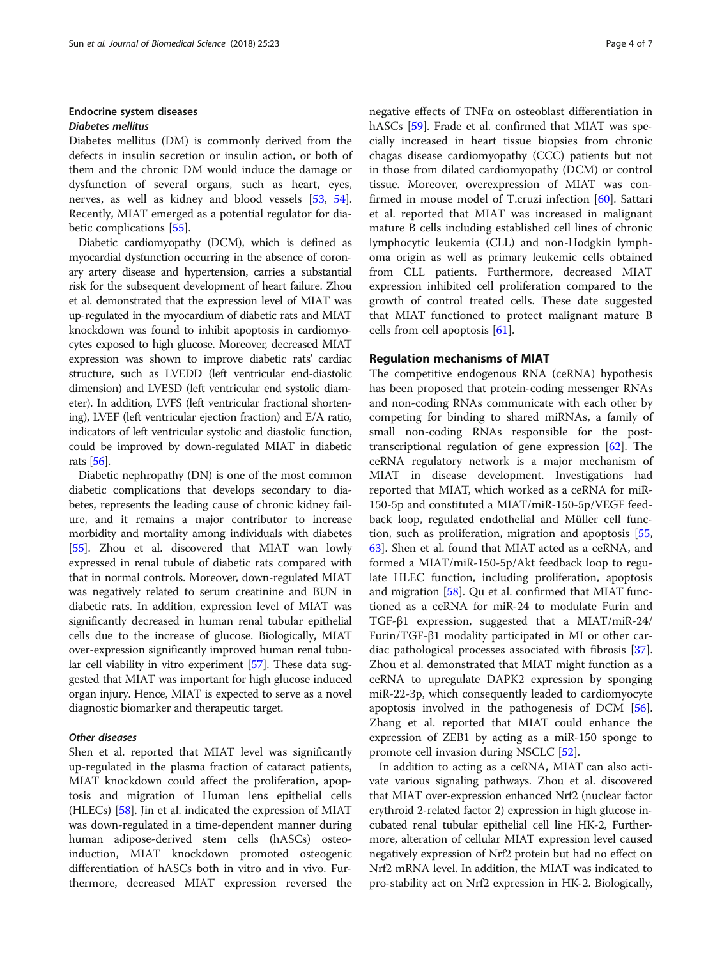# Endocrine system diseases Diabetes mellitus

Diabetes mellitus (DM) is commonly derived from the defects in insulin secretion or insulin action, or both of them and the chronic DM would induce the damage or dysfunction of several organs, such as heart, eyes, nerves, as well as kidney and blood vessels [[53,](#page-6-0) [54](#page-6-0)]. Recently, MIAT emerged as a potential regulator for diabetic complications [\[55](#page-6-0)].

Diabetic cardiomyopathy (DCM), which is defined as myocardial dysfunction occurring in the absence of coronary artery disease and hypertension, carries a substantial risk for the subsequent development of heart failure. Zhou et al. demonstrated that the expression level of MIAT was up-regulated in the myocardium of diabetic rats and MIAT knockdown was found to inhibit apoptosis in cardiomyocytes exposed to high glucose. Moreover, decreased MIAT expression was shown to improve diabetic rats' cardiac structure, such as LVEDD (left ventricular end-diastolic dimension) and LVESD (left ventricular end systolic diameter). In addition, LVFS (left ventricular fractional shortening), LVEF (left ventricular ejection fraction) and E/A ratio, indicators of left ventricular systolic and diastolic function, could be improved by down-regulated MIAT in diabetic rats [[56](#page-6-0)].

Diabetic nephropathy (DN) is one of the most common diabetic complications that develops secondary to diabetes, represents the leading cause of chronic kidney failure, and it remains a major contributor to increase morbidity and mortality among individuals with diabetes [[55](#page-6-0)]. Zhou et al. discovered that MIAT wan lowly expressed in renal tubule of diabetic rats compared with that in normal controls. Moreover, down-regulated MIAT was negatively related to serum creatinine and BUN in diabetic rats. In addition, expression level of MIAT was significantly decreased in human renal tubular epithelial cells due to the increase of glucose. Biologically, MIAT over-expression significantly improved human renal tubular cell viability in vitro experiment [\[57\]](#page-6-0). These data suggested that MIAT was important for high glucose induced organ injury. Hence, MIAT is expected to serve as a novel diagnostic biomarker and therapeutic target.

# Other diseases

Shen et al. reported that MIAT level was significantly up-regulated in the plasma fraction of cataract patients, MIAT knockdown could affect the proliferation, apoptosis and migration of Human lens epithelial cells (HLECs) [\[58\]](#page-6-0). Jin et al. indicated the expression of MIAT was down-regulated in a time-dependent manner during human adipose-derived stem cells (hASCs) osteoinduction, MIAT knockdown promoted osteogenic differentiation of hASCs both in vitro and in vivo. Furthermore, decreased MIAT expression reversed the

negative effects of TNFα on osteoblast differentiation in hASCs [\[59](#page-6-0)]. Frade et al. confirmed that MIAT was specially increased in heart tissue biopsies from chronic chagas disease cardiomyopathy (CCC) patients but not in those from dilated cardiomyopathy (DCM) or control tissue. Moreover, overexpression of MIAT was confirmed in mouse model of T.cruzi infection [\[60](#page-6-0)]. Sattari et al. reported that MIAT was increased in malignant mature B cells including established cell lines of chronic lymphocytic leukemia (CLL) and non-Hodgkin lymphoma origin as well as primary leukemic cells obtained from CLL patients. Furthermore, decreased MIAT expression inhibited cell proliferation compared to the growth of control treated cells. These date suggested that MIAT functioned to protect malignant mature B cells from cell apoptosis [\[61](#page-6-0)].

# Regulation mechanisms of MIAT

The competitive endogenous RNA (ceRNA) hypothesis has been proposed that protein-coding messenger RNAs and non-coding RNAs communicate with each other by competing for binding to shared miRNAs, a family of small non-coding RNAs responsible for the posttranscriptional regulation of gene expression  $[62]$  $[62]$  $[62]$ . The ceRNA regulatory network is a major mechanism of MIAT in disease development. Investigations had reported that MIAT, which worked as a ceRNA for miR-150-5p and constituted a MIAT/miR-150-5p/VEGF feedback loop, regulated endothelial and Müller cell function, such as proliferation, migration and apoptosis [[55](#page-6-0), [63\]](#page-6-0). Shen et al. found that MIAT acted as a ceRNA, and formed a MIAT/miR-150-5p/Akt feedback loop to regulate HLEC function, including proliferation, apoptosis and migration [[58\]](#page-6-0). Qu et al. confirmed that MIAT functioned as a ceRNA for miR-24 to modulate Furin and TGF-β1 expression, suggested that a MIAT/miR-24/ Furin/TGF-β1 modality participated in MI or other cardiac pathological processes associated with fibrosis [\[37](#page-5-0)]. Zhou et al. demonstrated that MIAT might function as a ceRNA to upregulate DAPK2 expression by sponging miR-22-3p, which consequently leaded to cardiomyocyte apoptosis involved in the pathogenesis of DCM [\[56](#page-6-0)]. Zhang et al. reported that MIAT could enhance the expression of ZEB1 by acting as a miR-150 sponge to promote cell invasion during NSCLC [[52](#page-6-0)].

In addition to acting as a ceRNA, MIAT can also activate various signaling pathways. Zhou et al. discovered that MIAT over-expression enhanced Nrf2 (nuclear factor erythroid 2-related factor 2) expression in high glucose incubated renal tubular epithelial cell line HK-2, Furthermore, alteration of cellular MIAT expression level caused negatively expression of Nrf2 protein but had no effect on Nrf2 mRNA level. In addition, the MIAT was indicated to pro-stability act on Nrf2 expression in HK-2. Biologically,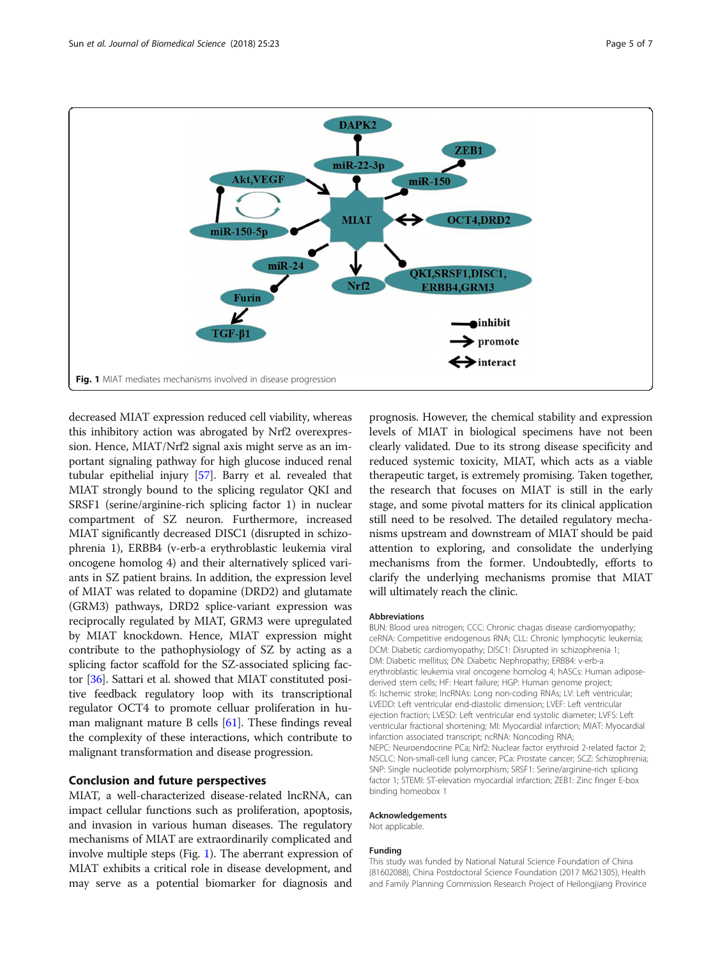

decreased MIAT expression reduced cell viability, whereas this inhibitory action was abrogated by Nrf2 overexpression. Hence, MIAT/Nrf2 signal axis might serve as an important signaling pathway for high glucose induced renal tubular epithelial injury [[57](#page-6-0)]. Barry et al. revealed that MIAT strongly bound to the splicing regulator QKI and SRSF1 (serine/arginine-rich splicing factor 1) in nuclear compartment of SZ neuron. Furthermore, increased MIAT significantly decreased DISC1 (disrupted in schizophrenia 1), ERBB4 (v-erb-a erythroblastic leukemia viral oncogene homolog 4) and their alternatively spliced variants in SZ patient brains. In addition, the expression level of MIAT was related to dopamine (DRD2) and glutamate (GRM3) pathways, DRD2 splice-variant expression was reciprocally regulated by MIAT, GRM3 were upregulated by MIAT knockdown. Hence, MIAT expression might contribute to the pathophysiology of SZ by acting as a splicing factor scaffold for the SZ-associated splicing factor [[36](#page-5-0)]. Sattari et al. showed that MIAT constituted positive feedback regulatory loop with its transcriptional regulator OCT4 to promote celluar proliferation in human malignant mature B cells [\[61\]](#page-6-0). These findings reveal the complexity of these interactions, which contribute to malignant transformation and disease progression.

# Conclusion and future perspectives

MIAT, a well-characterized disease-related lncRNA, can impact cellular functions such as proliferation, apoptosis, and invasion in various human diseases. The regulatory mechanisms of MIAT are extraordinarily complicated and involve multiple steps (Fig. 1). The aberrant expression of MIAT exhibits a critical role in disease development, and may serve as a potential biomarker for diagnosis and

prognosis. However, the chemical stability and expression levels of MIAT in biological specimens have not been clearly validated. Due to its strong disease specificity and reduced systemic toxicity, MIAT, which acts as a viable therapeutic target, is extremely promising. Taken together, the research that focuses on MIAT is still in the early stage, and some pivotal matters for its clinical application still need to be resolved. The detailed regulatory mechanisms upstream and downstream of MIAT should be paid attention to exploring, and consolidate the underlying mechanisms from the former. Undoubtedly, efforts to clarify the underlying mechanisms promise that MIAT will ultimately reach the clinic.

#### Abbreviations

BUN: Blood urea nitrogen; CCC: Chronic chagas disease cardiomyopathy; ceRNA: Competitive endogenous RNA; CLL: Chronic lymphocytic leukemia; DCM: Diabetic cardiomyopathy; DISC1: Disrupted in schizophrenia 1; DM: Diabetic mellitus; DN: Diabetic Nephropathy; ERBB4: v-erb-a erythroblastic leukemia viral oncogene homolog 4; hASCs: Human adiposederived stem cells; HF: Heart failure; HGP: Human genome project; IS: Ischemic stroke; lncRNAs: Long non-coding RNAs; LV: Left ventricular; LVEDD: Left ventricular end-diastolic dimension; LVEF: Left ventricular ejection fraction; LVESD: Left ventricular end systolic diameter; LVFS: Left ventricular fractional shortening; MI: Myocardial infarction; MIAT: Myocardial infarction associated transcript; ncRNA: Noncoding RNA; NEPC: Neuroendocrine PCa; Nrf2: Nuclear factor erythroid 2-related factor 2; NSCLC: Non-small-cell lung cancer; PCa: Prostate cancer; SCZ: Schizophrenia; SNP: Single nucleotide polymorphism; SRSF1: Serine/arginine-rich splicing factor 1; STEMI: ST-elevation myocardial infarction; ZEB1: Zinc finger E-box binding homeobox 1

#### Acknowledgements

Not applicable.

## Funding

This study was funded by National Natural Science Foundation of China (81602088), China Postdoctoral Science Foundation (2017 M621305), Health and Family Planning Commission Research Project of Heilongjiang Province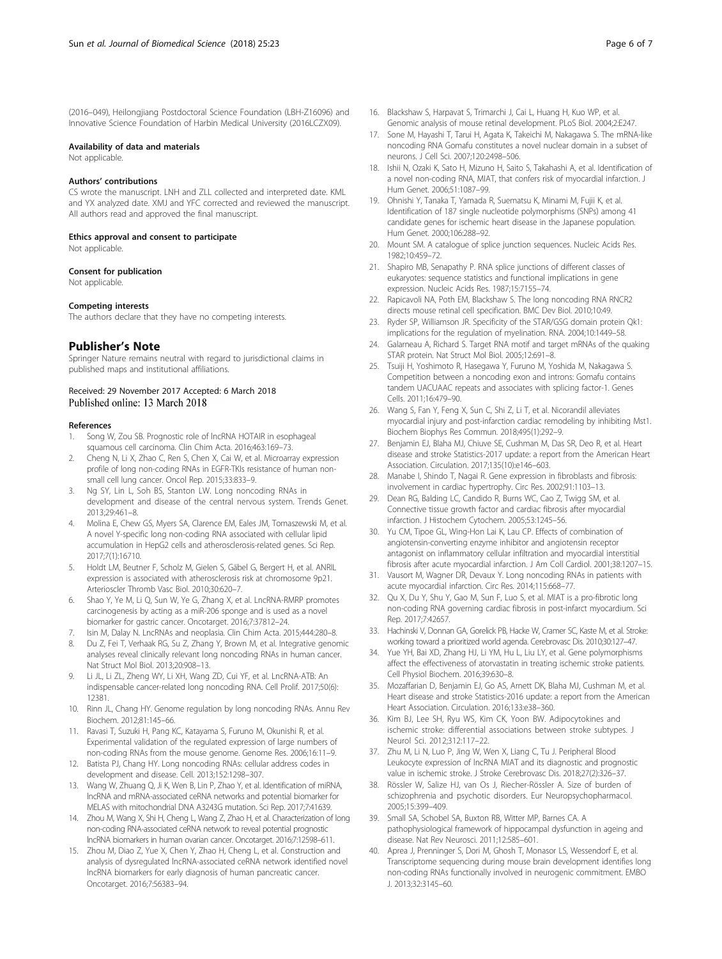### <span id="page-5-0"></span>Availability of data and materials

Not applicable.

#### Authors' contributions

CS wrote the manuscript. LNH and ZLL collected and interpreted date. KML and YX analyzed date. XMJ and YFC corrected and reviewed the manuscript. All authors read and approved the final manuscript.

# Ethics approval and consent to participate

Not applicable.

### Consent for publication

Not applicable.

#### Competing interests

The authors declare that they have no competing interests.

# Publisher's Note

Springer Nature remains neutral with regard to jurisdictional claims in published maps and institutional affiliations.

### Received: 29 November 2017 Accepted: 6 March 2018 Published online: 13 March 2018

#### References

- 1. Song W, Zou SB. Prognostic role of lncRNA HOTAIR in esophageal squamous cell carcinoma. Clin Chim Acta. 2016;463:169–73.
- 2. Cheng N, Li X, Zhao C, Ren S, Chen X, Cai W, et al. Microarray expression profile of long non-coding RNAs in EGFR-TKIs resistance of human nonsmall cell lung cancer. Oncol Rep. 2015;33:833–9.
- 3. Ng SY, Lin L, Soh BS, Stanton LW. Long noncoding RNAs in development and disease of the central nervous system. Trends Genet. 2013;29:461–8.
- 4. Molina E, Chew GS, Myers SA, Clarence EM, Eales JM, Tomaszewski M, et al. A novel Y-specific long non-coding RNA associated with cellular lipid accumulation in HepG2 cells and atherosclerosis-related genes. Sci Rep. 2017;7(1):16710.
- 5. Holdt LM, Beutner F, Scholz M, Gielen S, Gäbel G, Bergert H, et al. ANRIL expression is associated with atherosclerosis risk at chromosome 9p21. Arterioscler Thromb Vasc Biol. 2010;30:620–7.
- 6. Shao Y, Ye M, Li Q, Sun W, Ye G, Zhang X, et al. LncRNA-RMRP promotes carcinogenesis by acting as a miR-206 sponge and is used as a novel biomarker for gastric cancer. Oncotarget. 2016;7:37812–24.
- 1sin M, Dalay N. LncRNAs and neoplasia. Clin Chim Acta. 2015;444:280-8. 8. Du Z, Fei T, Verhaak RG, Su Z, Zhang Y, Brown M, et al. Integrative genomic analyses reveal clinically relevant long noncoding RNAs in human cancer. Nat Struct Mol Biol. 2013;20:908–13.
- 9. Li JL, Li ZL, Zheng WY, Li XH, Wang ZD, Cui YF, et al. LncRNA-ATB: An indispensable cancer-related long noncoding RNA. Cell Prolif. 2017;50(6): 12381.
- 10. Rinn JL, Chang HY. Genome regulation by long noncoding RNAs. Annu Rev Biochem. 2012;81:145–66.
- 11. Ravasi T, Suzuki H, Pang KC, Katayama S, Furuno M, Okunishi R, et al. Experimental validation of the regulated expression of large numbers of non-coding RNAs from the mouse genome. Genome Res. 2006;16:11–9.
- 12. Batista PJ, Chang HY. Long noncoding RNAs: cellular address codes in development and disease. Cell. 2013;152:1298–307.
- 13. Wang W, Zhuang Q, Ji K, Wen B, Lin P, Zhao Y, et al. Identification of miRNA, lncRNA and mRNA-associated ceRNA networks and potential biomarker for MELAS with mitochondrial DNA A3243G mutation. Sci Rep. 2017;7:41639.
- 14. Zhou M, Wang X, Shi H, Cheng L, Wang Z, Zhao H, et al. Characterization of long non-coding RNA-associated ceRNA network to reveal potential prognostic lncRNA biomarkers in human ovarian cancer. Oncotarget. 2016;7:12598–611.
- 15. Zhou M, Diao Z, Yue X, Chen Y, Zhao H, Cheng L, et al. Construction and analysis of dysregulated lncRNA-associated ceRNA network identified novel lncRNA biomarkers for early diagnosis of human pancreatic cancer. Oncotarget. 2016;7:56383–94.
- 16. Blackshaw S, Harpavat S, Trimarchi J, Cai L, Huang H, Kuo WP, et al. Genomic analysis of mouse retinal development. PLoS Biol. 2004;2:E247.
- 17. Sone M, Hayashi T, Tarui H, Agata K, Takeichi M, Nakagawa S. The mRNA-like noncoding RNA Gomafu constitutes a novel nuclear domain in a subset of neurons. J Cell Sci. 2007;120:2498–506.
- 18. Ishii N, Ozaki K, Sato H, Mizuno H, Saito S, Takahashi A, et al. Identification of a novel non-coding RNA, MIAT, that confers risk of myocardial infarction. J Hum Genet. 2006;51:1087–99.
- 19. Ohnishi Y, Tanaka T, Yamada R, Suematsu K, Minami M, Fujii K, et al. Identification of 187 single nucleotide polymorphisms (SNPs) among 41 candidate genes for ischemic heart disease in the Japanese population. Hum Genet. 2000;106:288–92.
- 20. Mount SM. A catalogue of splice junction sequences. Nucleic Acids Res. 1982;10:459–72.
- 21. Shapiro MB, Senapathy P. RNA splice junctions of different classes of eukaryotes: sequence statistics and functional implications in gene expression. Nucleic Acids Res. 1987;15:7155–74.
- 22. Rapicavoli NA, Poth EM, Blackshaw S. The long noncoding RNA RNCR2 directs mouse retinal cell specification. BMC Dev Biol. 2010;10:49.
- 23. Ryder SP, Williamson JR. Specificity of the STAR/GSG domain protein Qk1: implications for the regulation of myelination. RNA. 2004;10:1449–58.
- 24. Galarneau A, Richard S. Target RNA motif and target mRNAs of the quaking STAR protein. Nat Struct Mol Biol. 2005;12:691–8.
- 25. Tsuiji H, Yoshimoto R, Hasegawa Y, Furuno M, Yoshida M, Nakagawa S. Competition between a noncoding exon and introns: Gomafu contains tandem UACUAAC repeats and associates with splicing factor-1. Genes Cells. 2011;16:479–90.
- 26. Wang S, Fan Y, Feng X, Sun C, Shi Z, Li T, et al. Nicorandil alleviates myocardial injury and post-infarction cardiac remodeling by inhibiting Mst1. Biochem Biophys Res Commun. 2018;495(1):292–9.
- 27. Benjamin EJ, Blaha MJ, Chiuve SE, Cushman M, Das SR, Deo R, et al. Heart disease and stroke Statistics-2017 update: a report from the American Heart Association. Circulation. 2017;135(10):e146–603.
- 28. Manabe I, Shindo T, Nagai R. Gene expression in fibroblasts and fibrosis: involvement in cardiac hypertrophy. Circ Res. 2002;91:1103–13.
- 29. Dean RG, Balding LC, Candido R, Burns WC, Cao Z, Twigg SM, et al. Connective tissue growth factor and cardiac fibrosis after myocardial infarction. J Histochem Cytochem. 2005;53:1245–56.
- 30. Yu CM, Tipoe GL, Wing-Hon Lai K, Lau CP. Effects of combination of angiotensin-converting enzyme inhibitor and angiotensin receptor antagonist on inflammatory cellular infiltration and myocardial interstitial fibrosis after acute myocardial infarction. J Am Coll Cardiol. 2001;38:1207–15.
- 31. Vausort M, Wagner DR, Devaux Y. Long noncoding RNAs in patients with acute myocardial infarction. Circ Res. 2014;115:668–77.
- 32. Qu X, Du Y, Shu Y, Gao M, Sun F, Luo S, et al. MIAT is a pro-fibrotic long non-coding RNA governing cardiac fibrosis in post-infarct myocardium. Sci Rep. 2017;7:42657.
- 33. Hachinski V, Donnan GA, Gorelick PB, Hacke W, Cramer SC, Kaste M, et al. Stroke: working toward a prioritized world agenda. Cerebrovasc Dis. 2010;30:127–47.
- 34. Yue YH, Bai XD, Zhang HJ, Li YM, Hu L, Liu LY, et al. Gene polymorphisms affect the effectiveness of atorvastatin in treating ischemic stroke patients. Cell Physiol Biochem. 2016;39:630–8.
- 35. Mozaffarian D, Benjamin EJ, Go AS, Arnett DK, Blaha MJ, Cushman M, et al. Heart disease and stroke Statistics-2016 update: a report from the American Heart Association. Circulation. 2016;133:e38–360.
- 36. Kim BJ, Lee SH, Ryu WS, Kim CK, Yoon BW. Adipocytokines and ischemic stroke: differential associations between stroke subtypes. J Neurol Sci. 2012;312:117–22.
- 37. Zhu M, Li N, Luo P, Jing W, Wen X, Liang C, Tu J. Peripheral Blood Leukocyte expression of lncRNA MIAT and its diagnostic and prognostic value in ischemic stroke. J Stroke Cerebrovasc Dis. 2018;27(2):326–37.
- 38. Rössler W, Salize HJ, van Os J, Riecher-Rössler A. Size of burden of schizophrenia and psychotic disorders. Eur Neuropsychopharmacol. 2005;15:399–409.
- 39. Small SA, Schobel SA, Buxton RB, Witter MP, Barnes CA. A pathophysiological framework of hippocampal dysfunction in ageing and disease. Nat Rev Neurosci. 2011;12:585–601.
- 40. Aprea J, Prenninger S, Dori M, Ghosh T, Monasor LS, Wessendorf E, et al. Transcriptome sequencing during mouse brain development identifies long non-coding RNAs functionally involved in neurogenic commitment. EMBO J. 2013;32:3145–60.